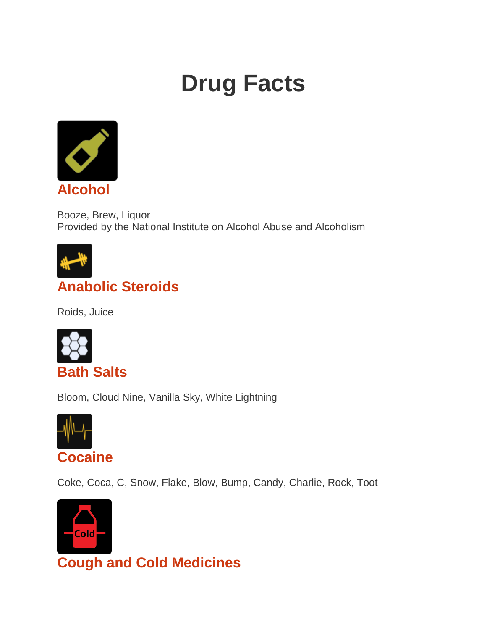# **Drug Facts**



Booze, Brew, Liquor Provided by the National Institute on Alcohol Abuse and Alcoholism



## **[Anabolic Steroids](https://teens.drugabuse.gov/taxonomy/term/390)**

Roids, Juice



Bloom, Cloud Nine, Vanilla Sky, White Lightning



Coke, Coca, C, Snow, Flake, Blow, Bump, Candy, Charlie, Rock, Toot



**[Cough and Cold Medicines](https://teens.drugabuse.gov/taxonomy/term/400)**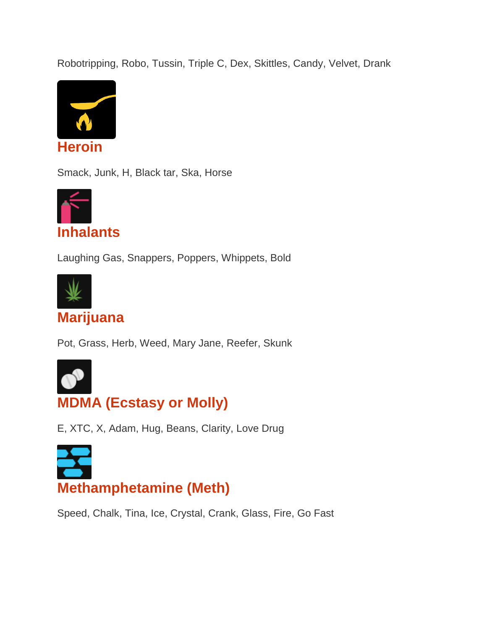Robotripping, Robo, Tussin, Triple C, Dex, Skittles, Candy, Velvet, Drank



Smack, Junk, H, Black tar, Ska, Horse



Laughing Gas, Snappers, Poppers, Whippets, Bold



#### **[Marijuana](https://teens.drugabuse.gov/taxonomy/term/395)**

Pot, Grass, Herb, Weed, Mary Jane, Reefer, Skunk



## **[MDMA \(Ecstasy or Molly\)](https://teens.drugabuse.gov/taxonomy/term/392)**

E, XTC, X, Adam, Hug, Beans, Clarity, Love Drug



Speed, Chalk, Tina, Ice, Crystal, Crank, Glass, Fire, Go Fast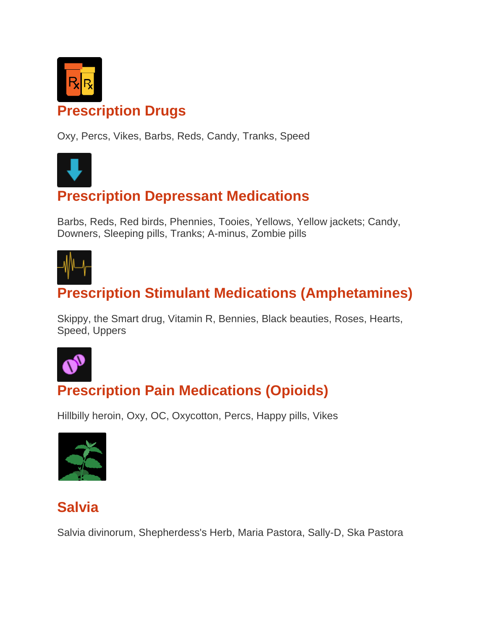

#### **[Prescription Drugs](https://teens.drugabuse.gov/taxonomy/term/396)**

Oxy, Percs, Vikes, Barbs, Reds, Candy, Tranks, Speed



#### **[Prescription Depressant Medications](https://teens.drugabuse.gov/taxonomy/term/402)**

Barbs, Reds, Red birds, Phennies, Tooies, Yellows, Yellow jackets; Candy, Downers, Sleeping pills, Tranks; A-minus, Zombie pills



## **[Prescription Stimulant Medications \(Amphetamines\)](https://teens.drugabuse.gov/taxonomy/term/397)**

Skippy, the Smart drug, Vitamin R, Bennies, Black beauties, Roses, Hearts, Speed, Uppers



# **[Prescription Pain Medications \(Opioids\)](https://teens.drugabuse.gov/taxonomy/term/403)**

Hillbilly heroin, Oxy, OC, Oxycotton, Percs, Happy pills, Vikes



#### **[Salvia](https://teens.drugabuse.gov/taxonomy/term/445)**

Salvia divinorum, Shepherdess's Herb, Maria Pastora, Sally-D, Ska Pastora